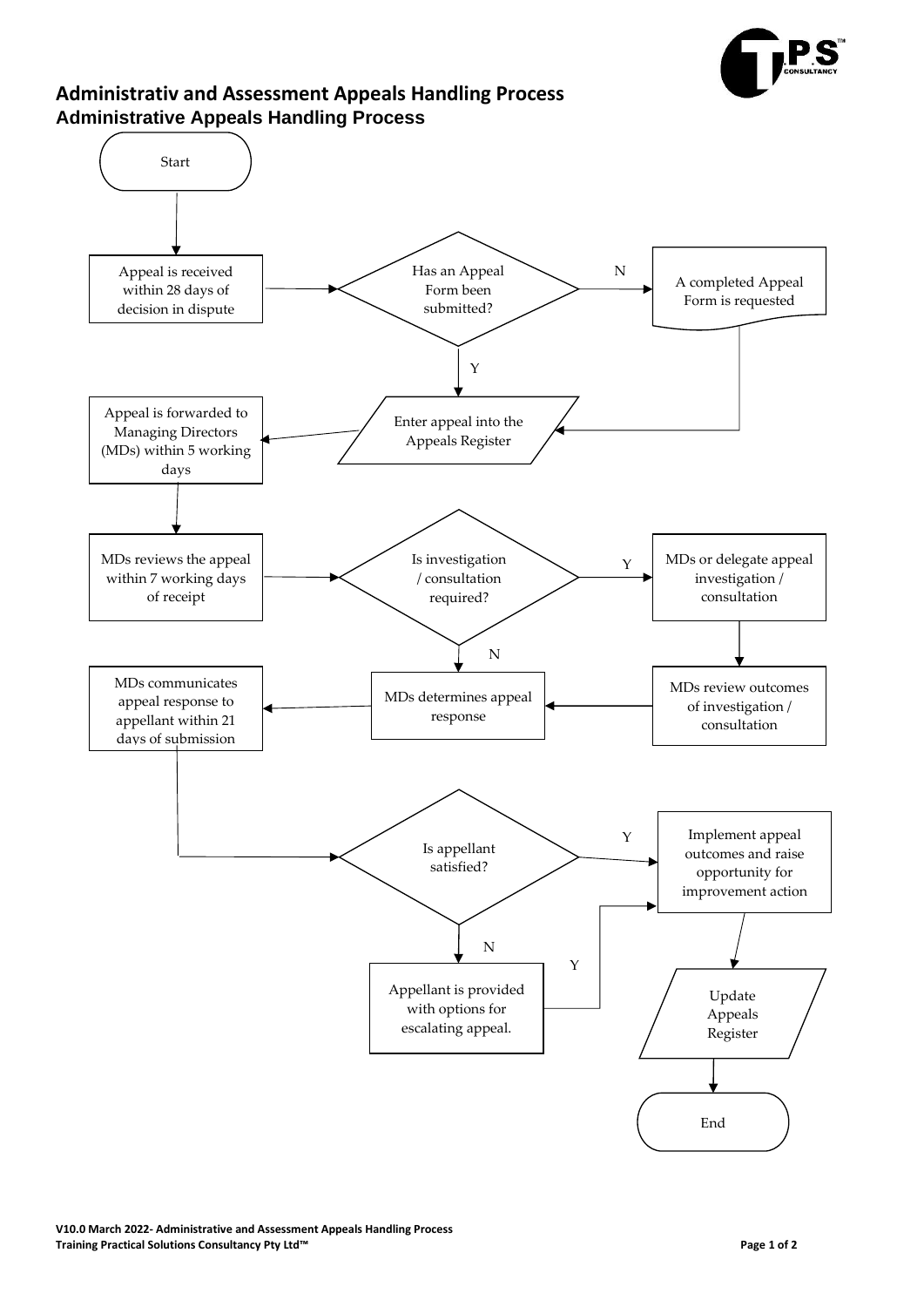

## **Administrativ and Assessment Appeals Handling Process Administrative Appeals Handling Process**